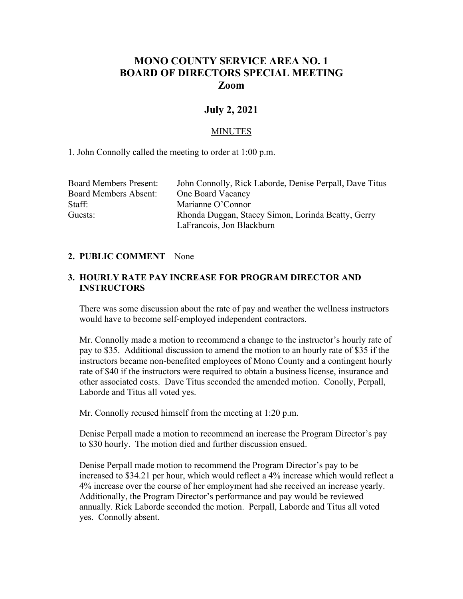# **MONO COUNTY SERVICE AREA NO. 1 BOARD OF DIRECTORS SPECIAL MEETING Zoom**

## **July 2, 2021**

#### MINUTES

1. John Connolly called the meeting to order at 1:00 p.m.

| Board Members Present:       | John Connolly, Rick Laborde, Denise Perpall, Dave Titus |
|------------------------------|---------------------------------------------------------|
| <b>Board Members Absent:</b> | One Board Vacancy                                       |
| Staff:                       | Marianne O'Connor                                       |
| Guests:                      | Rhonda Duggan, Stacey Simon, Lorinda Beatty, Gerry      |
|                              | LaFrancois, Jon Blackburn                               |

#### **2. PUBLIC COMMENT** – None

### **3. HOURLY RATE PAY INCREASE FOR PROGRAM DIRECTOR AND INSTRUCTORS**

There was some discussion about the rate of pay and weather the wellness instructors would have to become self-employed independent contractors.

Mr. Connolly made a motion to recommend a change to the instructor's hourly rate of pay to \$35. Additional discussion to amend the motion to an hourly rate of \$35 if the instructors became non-benefited employees of Mono County and a contingent hourly rate of \$40 if the instructors were required to obtain a business license, insurance and other associated costs. Dave Titus seconded the amended motion. Conolly, Perpall, Laborde and Titus all voted yes.

Mr. Connolly recused himself from the meeting at 1:20 p.m.

Denise Perpall made a motion to recommend an increase the Program Director's pay to \$30 hourly. The motion died and further discussion ensued.

Denise Perpall made motion to recommend the Program Director's pay to be increased to \$34.21 per hour, which would reflect a 4% increase which would reflect a 4% increase over the course of her employment had she received an increase yearly. Additionally, the Program Director's performance and pay would be reviewed annually. Rick Laborde seconded the motion. Perpall, Laborde and Titus all voted yes. Connolly absent.